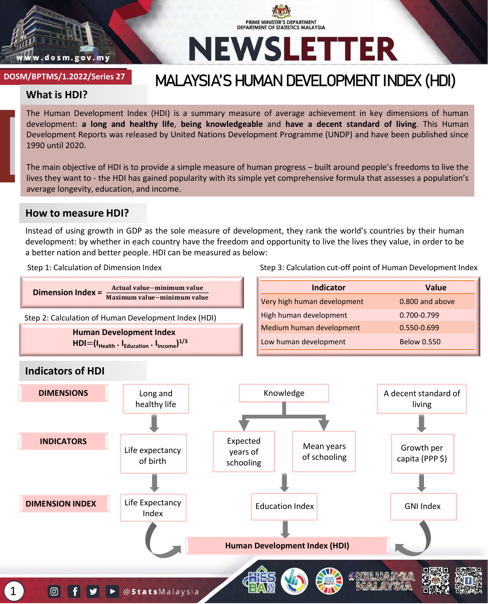

# **PRIME MINISTER'S DEPARTMENT<br>DEPARTMENT OF STATISTICS MALAYSIA NEWSLETTER**

#### **DOSM/BKS/x.2022/Series x DOSM/BPTMS/1.2022/Series 27**

### **MALAYSIA'S HUMAN DEVELOPMENT INDEX (HDI)**

#### **What is HDI?**

The Human Development Index (HDI) is a summary measure of average achievement in key dimensions of human development: **a long and healthy life**, **being knowledgeable** and **have a decent standard of living**. This Human Development Reports was released by United Nations Development Programme (UNDP) and have been published since 1990 until 2020.

The main objective of HDI is to provide a simple measure of human progress – built around people's freedoms to live the lives they want to - the HDI has gained popularity with its simple yet comprehensive formula that assesses a population's average longevity, education, and income.

#### **How to measure HDI?**

Instead of using growth in GDP as the sole measure of development, they rank the world's countries by their human development: by whether in each country have the freedom and opportunity to live the lives they value, in order to be a better nation and better people. HDI can be measured as below:

Step 1: Calculation of Dimension Index

Step 3: Calculation cut-off point of Human Development Index